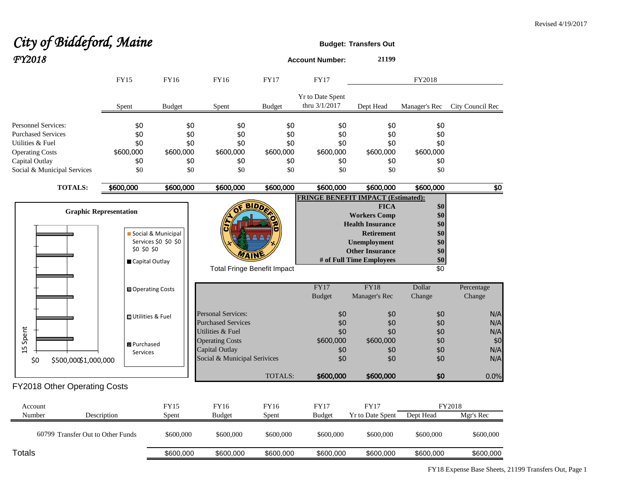## City of Biddeford, Maine **Budget:** Transfers Out *FY2018* **Account Number: <sup>21199</sup>**

|                                   | <b>FY15</b>                   | <b>FY16</b>              | <b>FY16</b>                        | <b>FY17</b>    | <b>FY17</b>                               |                                                                                    | FY2018                   |                      |  |
|-----------------------------------|-------------------------------|--------------------------|------------------------------------|----------------|-------------------------------------------|------------------------------------------------------------------------------------|--------------------------|----------------------|--|
|                                   | Spent                         | <b>Budget</b>            | Spent                              | <b>Budget</b>  | Yr to Date Spent<br>thru 3/1/2017         | Dept Head                                                                          | Manager's Rec            | City Council Rec     |  |
| Personnel Services:               | \$0                           | \$0                      | \$0                                | \$0            | \$0                                       | \$0                                                                                | \$0                      |                      |  |
| <b>Purchased Services</b>         | \$0                           | \$0                      | \$0                                | \$0            | \$0                                       | \$0                                                                                | \$0                      |                      |  |
| Utilities & Fuel                  | \$0                           | \$0                      | \$0                                | \$0            | \$0                                       | \$0                                                                                | \$0                      |                      |  |
| <b>Operating Costs</b>            | \$600,000                     | \$600,000                | \$600,000                          | \$600,000      | \$600,000                                 | \$600,000                                                                          | \$600,000                |                      |  |
| Capital Outlay                    | \$0                           | \$0                      | \$0                                | \$0            | \$0                                       | \$0                                                                                | \$0                      |                      |  |
| Social & Municipal Services       | \$0                           | \$0                      | \$0                                | \$0            | \$0                                       | \$0                                                                                | \$0                      |                      |  |
| <b>TOTALS:</b>                    | \$600,000                     | \$600,000                | \$600,000                          | \$600,000      | \$600,000                                 | \$600,000                                                                          | \$600,000                | $\overline{30}$      |  |
|                                   |                               |                          |                                    |                | <b>FRINGE BENEFIT IMPACT (Estimated):</b> |                                                                                    |                          |                      |  |
|                                   | <b>Graphic Representation</b> | Social & Municipal       |                                    | <b>BIDD</b>    |                                           | <b>FICA</b><br><b>Workers Comp</b><br><b>Health Insurance</b><br><b>Retirement</b> | \$0<br>\$0<br>\$0<br>\$0 |                      |  |
|                                   |                               | Services \$0 \$0 \$0     |                                    |                |                                           | <b>Unemployment</b>                                                                | \$0                      |                      |  |
|                                   | \$0 \$0 \$0                   |                          |                                    |                |                                           | <b>Other Insurance</b>                                                             | \$0                      |                      |  |
|                                   | Capital Outlay                |                          | 7A I N                             |                |                                           | # of Full Time Employees                                                           | $\$0$                    |                      |  |
|                                   |                               |                          | <b>Total Fringe Benefit Impact</b> |                |                                           |                                                                                    | $\overline{50}$          |                      |  |
|                                   |                               | <b>■ Operating Costs</b> |                                    |                | FY17<br><b>Budget</b>                     | <b>FY18</b><br>Manager's Rec                                                       | Dollar<br>Change         | Percentage<br>Change |  |
|                                   | <b>□</b> Utilities & Fuel     |                          | <b>Personal Services:</b>          |                | \$0                                       | \$0                                                                                | \$0                      | N/A                  |  |
|                                   |                               |                          | <b>Purchased Services</b>          |                | \$0                                       | \$0                                                                                | \$0                      | N/A                  |  |
| 15 Spent                          |                               |                          | Utilities & Fuel                   |                | \$0                                       | \$0                                                                                | \$0                      | N/A                  |  |
|                                   | <b>B</b> Purchased            |                          | <b>Operating Costs</b>             |                | \$600,000                                 | \$600,000                                                                          | \$0                      | \$0                  |  |
|                                   | <b>Services</b>               |                          | Capital Outlay                     |                | \$0                                       | \$0                                                                                | \$0                      | N/A                  |  |
| \$0<br>\$500,000\$1,000,000       |                               |                          | Social & Municipal Serivices       |                | \$0                                       | \$0                                                                                | \$0                      | N/A                  |  |
|                                   |                               |                          |                                    | <b>TOTALS:</b> | \$600,000                                 | \$600,000                                                                          | \$0                      | 0.0%                 |  |
| FY2018 Other Operating Costs      |                               |                          |                                    |                |                                           |                                                                                    |                          |                      |  |
| Account                           |                               | FY15                     | FY16                               | FY16           | <b>FY17</b>                               | <b>FY17</b>                                                                        |                          | FY2018               |  |
| Number                            | Description                   | Spent                    | <b>Budget</b>                      | Spent          | <b>Budget</b>                             | Yr to Date Spent                                                                   | Dept Head                | Mgr's Rec            |  |
| 60799 Transfer Out to Other Funds |                               | \$600,000                | \$600,000                          | \$600,000      | \$600,000                                 | \$600,000                                                                          | \$600,000                | \$600,000            |  |
| Totals                            |                               | \$600,000                | \$600,000                          | \$600,000      | \$600,000                                 | \$600,000                                                                          | \$600,000                | \$600,000            |  |